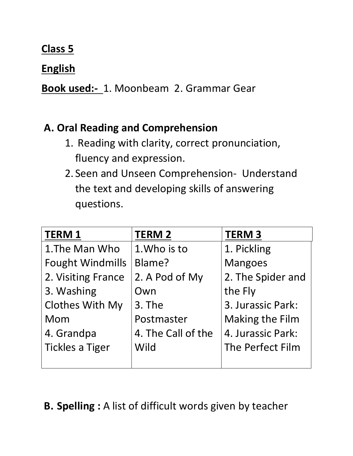## **Class 5**

## **English**

**Book used:-** 1. Moonbeam 2. Grammar Gear

## **A. Oral Reading and Comprehension**

- 1. Reading with clarity, correct pronunciation, fluency and expression.
- 2. Seen and Unseen Comprehension- Understand the text and developing skills of answering questions.

| <b>TERM 1</b>           | <b>TERM 2</b>      | <b>TERM3</b>           |
|-------------------------|--------------------|------------------------|
| 1. The Man Who          | 1. Who is to       | 1. Pickling            |
| <b>Fought Windmills</b> | Blame?             | <b>Mangoes</b>         |
| 2. Visiting France      | 2. A Pod of My     | 2. The Spider and      |
| 3. Washing              | Own                | the Fly                |
| <b>Clothes With My</b>  | 3. The             | 3. Jurassic Park:      |
| Mom                     | Postmaster         | <b>Making the Film</b> |
| 4. Grandpa              | 4. The Call of the | 4. Jurassic Park:      |
| <b>Tickles a Tiger</b>  | Wild               | The Perfect Film       |
|                         |                    |                        |

**B. Spelling :** A list of difficult words given by teacher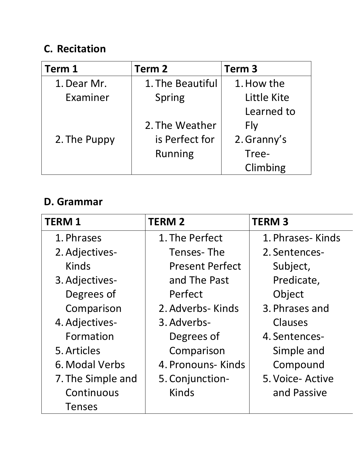## **C. Recitation**

| Term 1       | Term <sub>2</sub> | Term <sub>3</sub> |
|--------------|-------------------|-------------------|
| 1. Dear Mr.  | 1. The Beautiful  | 1. How the        |
| Examiner     | Spring            | Little Kite       |
|              |                   | Learned to        |
|              | 2. The Weather    | Fly               |
| 2. The Puppy | is Perfect for    | 2. Granny's       |
|              | Running           | Tree-             |
|              |                   | Climbing          |

## **D. Grammar**

| <b>TERM 1</b>     | <b>TERM 2</b>          | <b>TERM3</b>     |
|-------------------|------------------------|------------------|
| 1. Phrases        | 1. The Perfect         | 1. Phrases-Kinds |
| 2. Adjectives-    | Tenses-The             | 2. Sentences-    |
| Kinds             | <b>Present Perfect</b> | Subject,         |
| 3. Adjectives-    | and The Past           | Predicate,       |
| Degrees of        | Perfect                | Object           |
| Comparison        | 2. Adverbs-Kinds       | 3. Phrases and   |
| 4. Adjectives-    | 3. Adverbs-            | Clauses          |
| Formation         | Degrees of             | 4. Sentences-    |
| 5. Articles       | Comparison             | Simple and       |
| 6. Modal Verbs    | 4. Pronouns-Kinds      | Compound         |
| 7. The Simple and | 5. Conjunction-        | 5. Voice- Active |
| Continuous        | <b>Kinds</b>           | and Passive      |
| Tenses            |                        |                  |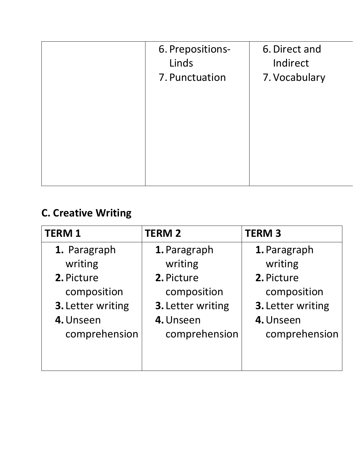| 6. Prepositions-<br>Linds<br>7. Punctuation | 6. Direct and<br>Indirect<br>7. Vocabulary |
|---------------------------------------------|--------------------------------------------|
|                                             |                                            |

# **C. Creative Writing**

| <b>TERM 1</b>            | <b>TERM 2</b>            | <b>TERM3</b>      |
|--------------------------|--------------------------|-------------------|
| 1. Paragraph             | 1. Paragraph             | 1. Paragraph      |
| writing                  | writing                  | writing           |
| 2. Picture               | 2. Picture               | 2. Picture        |
| composition              | composition              | composition       |
| <b>3. Letter writing</b> | <b>3. Letter writing</b> | 3. Letter writing |
| 4. Unseen                | 4. Unseen                | 4. Unseen         |
| comprehension            | comprehension            | comprehension     |
|                          |                          |                   |
|                          |                          |                   |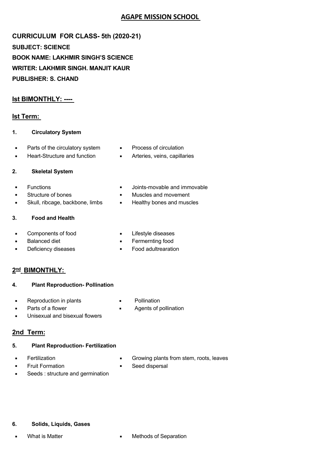## **AGAPE MISSION SCHOOL**

**CURRICULUM FOR CLASS- 5th (2020-21) SUBJECT: SCIENCE BOOK NAME: LAKHMIR SINGH'S SCIENCE WRITER: LAKHMIR SINGH. MANJIT KAUR PUBLISHER: S. CHAND** 

## **Ist BIMONTHLY: ----**

## **Ist Term:**

#### **1. Circulatory System**

- Parts of the circulatory system Process of circulation
- Heart-Structure and function Arteries, veins, capillaries
- **2. Skeletal System**
- 
- 
- Skull, ribcage, backbone, limbs Healthy bones and muscles
- **3. Food and Health**
- Components of food Lifestyle diseases
- 
- 
- 
- Functions Joints-movable and immovable
- Structure of bones Muscles and movement
	-
	-
- Balanced diet **•** Fermernting food
	- **Deficiency diseases •** Food adultrearation

## **2nd BIMONTHLY:**

#### **4. Plant Reproduction- Pollination**

- Reproduction in plants Pollination
	-
- - Parts of a flower **•** Agents of pollination
- Unisexual and bisexual flowers

## **2nd Term:**

## **5. Plant Reproduction- Fertilization**

Seeds : structure and germination

- 
- Fertilization Growing plants from stem, roots, leaves
- - Fruit Formation Seed dispersal

- **6. Solids, Liquids, Gases**
- - What is Matter  **Methods of Separation**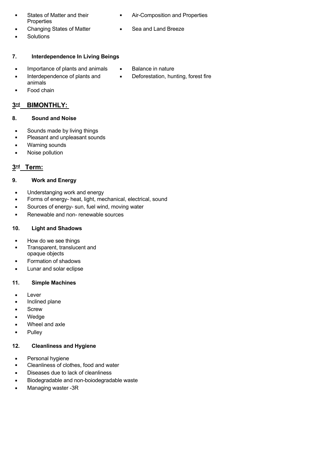- States of Matter and their **Properties**
- Changing States of Matter Sea and Land Breeze
- **Solutions**

#### **7. Interdependence In Living Beings**

- Importance of plants and animals Balance in nature
	- Deforestation, hunting, forest fire
- Interdependence of plants and animals
- Food chain

### **3rd BIMONTHLY:**

#### **8. Sound and Noise**

- Sounds made by living things
- Pleasant and unpleasant sounds
- Warning sounds
- Noise pollution

## **3rd Term:**

## **9. Work and Energy**

- Understanging work and energy
- Forms of energy- heat, light, mechanical, electrical, sound
- Sources of energy- sun, fuel wind, moving water
- Renewable and non- renewable sources

#### **10. Light and Shadows**

- How do we see things
- Transparent, translucent and opaque objects
- Formation of shadows
- Lunar and solar eclipse

#### **11. Simple Machines**

- Lever
- Inclined plane
- Screw
- Wedge
- Wheel and axle
- Pulley

#### **12. Cleanliness and Hygiene**

- Personal hygiene
- Cleanliness of clothes, food and water
- Diseases due to lack of cleanliness
- Biodegradable and non-boiodegradable waste
- Managing waster -3R



• Air-Composition and Properties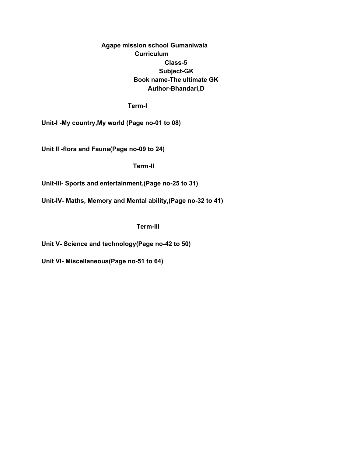## **Agape mission school Gumaniwala Curriculum Class-5 Subject-GK Book name-The ultimate GK Author-Bhandari,D**

**Term-I**

**Unit-I -My country,My world (Page no-01 to 08)**

**Unit II -flora and Fauna(Page no-09 to 24)**

**Term-II**

**Unit-III- Sports and entertainment,(Page no-25 to 31)**

**Unit-IV- Maths, Memory and Mental ability,(Page no-32 to 41)**

**Term-III**

**Unit V- Science and technology(Page no-42 to 50)**

**Unit VI- Miscellaneous(Page no-51 to 64)**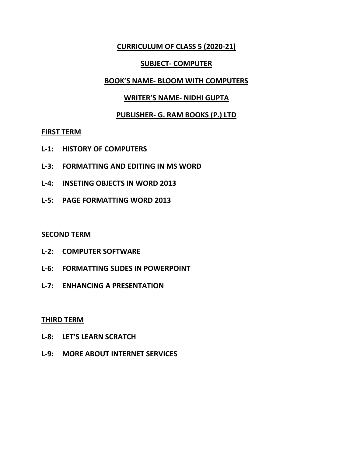## **CURRICULUM OF CLASS 5 (2020-21)**

## **SUBJECT- COMPUTER**

## **BOOK'S NAME- BLOOM WITH COMPUTERS**

## **WRITER'S NAME- NIDHI GUPTA**

## **PUBLISHER- G. RAM BOOKS (P.) LTD**

## **FIRST TERM**

- **L-1: HISTORY OF COMPUTERS**
- **L-3: FORMATTING AND EDITING IN MS WORD**
- **L-4: INSETING OBJECTS IN WORD 2013**
- **L-5: PAGE FORMATTING WORD 2013**

## **SECOND TERM**

- **L-2: COMPUTER SOFTWARE**
- **L-6: FORMATTING SLIDES IN POWERPOINT**
- **L-7: ENHANCING A PRESENTATION**

## **THIRD TERM**

- **L-8: LET'S LEARN SCRATCH**
- **L-9: MORE ABOUT INTERNET SERVICES**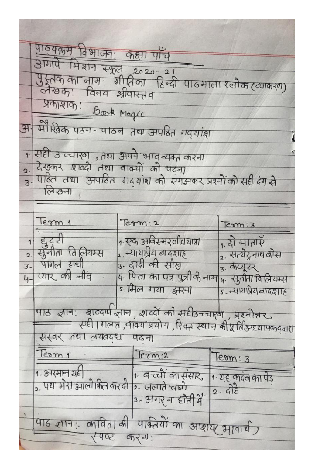पाठयक्रम विभाजन: कक्षा पाँच जगापे मिशन स्कूल 2020-21 पुरतक का नाम: गीतिका हिन्दी पाढमाला श्लोक (त्याकरण)  $39920$ : Book Magic अन्धीरिके पठन-पाठन तथा अपहित गद्यांश 1. सही उच्चारठा , तथा अपने भावन्यका करना देखकर शब्दों तथा वाक्यों को पटना  $2.$ 3. पहिल तथा अपठित ग्रदयांश को समझकर प्रश्नोंको सही दंग से लिखना Term 1 Term:2  $Eom:3$ दूररी 1. एक अविस्मर जीययात्रा <u>1. दो मातारु</u> सुनीता विलियम्स 2. सत्येद्रमाण बोस  $\overline{2}$ पागल हासी उ. दादी की सीख  $\overline{3}$  $3.$  chezzz प्यार की नींव 4. पिता का पत्र पुत्रीके नाम 4. सुनीना विलियम्स  $4-$ ड मिल गया क्षरना 5. न्यायाप्रिय जादशाह पाठ ज्ञान: शुरुवार्य राज, शब्दों की संधीउच्चारकी, प्रश्नोत्तर सही । गलत , पाक्य प्रयोग, रिक्त स्थान की प्रतिष्ठादयापकदवारा सरवर तथा लयवदद्य पढना Term 1 Term:2 Term: 3 1. अरमान यही 1. बच्चों का संसार, 1. यह कदंब का पैड 2. पथ भेरा आलोकित कर दी 2- जलाते चली  $2 - 5i$ 3-37गर न होती में पाठ ज्ञान: लाविता की पार्कतयों का आशय भावार्य। स्यव्ह कर्म: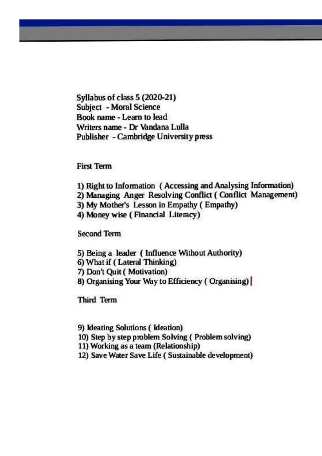Syllabus of class 5 (2020-21) **Subject - Moral Science** Book name - Learn to lead Writers name - Dr Vandana Lulla Publisher - Cambridge University press

## **First Term**

- 1) Right to Information (Accessing and Analysing Information)
- 2) Managing Anger Resolving Conflict (Conflict Management)
- 3) My Mother's Lesson in Empathy (Empathy)
- 4) Money wise (Financial Literacy)

**Second Term** 

- 5) Being a leader (Influence Without Authority)
- 6) What if (Lateral Thinking)
- 7) Don't Quit (Motivation)
- 8) Organising Your Way to Efficiency (Organising)

**Third Term** 

- 9) Ideating Solutions (Ideation)
- 10) Step by step problem Solving (Problem solving)
- 11) Working as a team (Relationship)
- 12) Save Water Save Life (Sustainable development)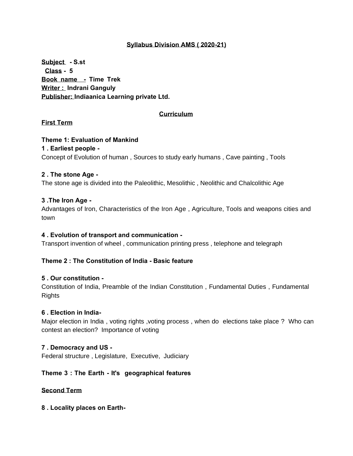#### **Syllabus Division AMS ( 2020-21)**

**Subject - S.st Class - 5 Book name - Time Trek Writer : Indrani Ganguly Publisher: Indiaanica Learning private Ltd.**

#### **Curriculum**

#### **First Term**

#### **Theme 1: Evaluation of Mankind**

#### **1 . Earliest people -** Concept of Evolution of human , Sources to study early humans , Cave painting , Tools

#### **2 . The stone Age -**

The stone age is divided into the Paleolithic, Mesolithic , Neolithic and Chalcolithic Age

#### **3 .The Iron Age -**

Advantages of Iron, Characteristics of the Iron Age , Agriculture, Tools and weapons cities and town

#### **4 . Evolution of transport and communication -**

Transport invention of wheel , communication printing press , telephone and telegraph

#### **Theme 2 : The Constitution of India - Basic feature**

#### **5 . Our constitution -**

Constitution of India, Preamble of the Indian Constitution , Fundamental Duties , Fundamental **Rights** 

#### **6 . Election in India-**

Major election in India , voting rights ,voting process , when do elections take place ? Who can contest an election? Importance of voting

#### **7 . Democracy and US -**

Federal structure , Legislature, Executive, Judiciary

#### **Theme 3 : The Earth - It's geographical features**

#### **Second Term**

**8 . Locality places on Earth-**